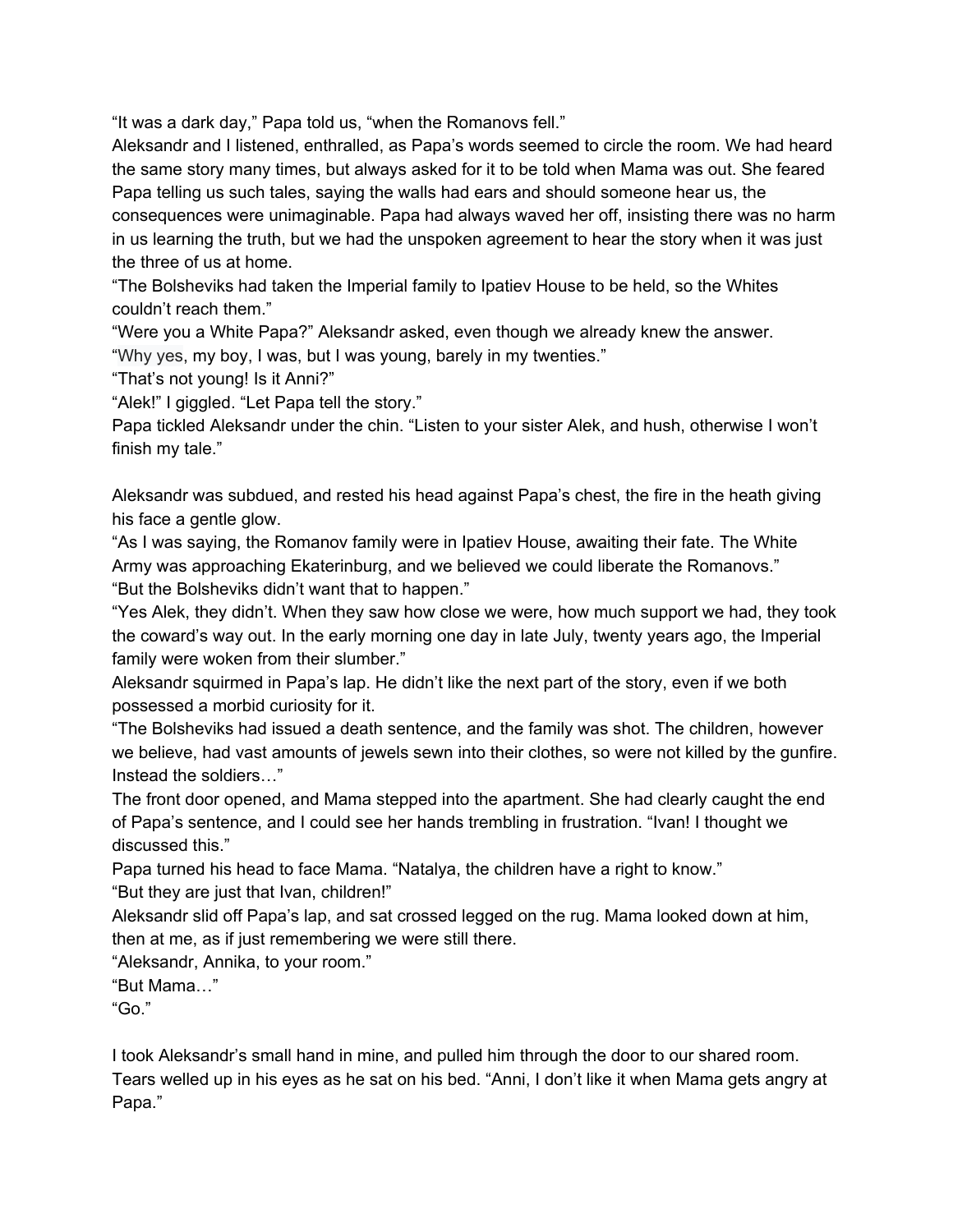"It was a dark day," Papa told us, "when the Romanovs fell."

Aleksandr and I listened, enthralled, as Papa's words seemed to circle the room. We had heard the same story many times, but always asked for it to be told when Mama was out. She feared Papa telling us such tales, saying the walls had ears and should someone hear us, the consequences were unimaginable. Papa had always waved her off, insisting there was no harm in us learning the truth, but we had the unspoken agreement to hear the story when it was just the three of us at home.

"The Bolsheviks had taken the Imperial family to Ipatiev House to be held, so the Whites couldn't reach them."

"Were you a White Papa?" Aleksandr asked, even though we already knew the answer.

"Why yes, my boy, I was, but I was young, barely in my twenties."

"That's not young! Is it Anni?"

"Alek!" I giggled. "Let Papa tell the story."

Papa tickled Aleksandr under the chin. "Listen to your sister Alek, and hush, otherwise I won't finish my tale."

Aleksandr was subdued, and rested his head against Papa's chest, the fire in the heath giving his face a gentle glow.

"As I was saying, the Romanov family were in Ipatiev House, awaiting their fate. The White Army was approaching Ekaterinburg, and we believed we could liberate the Romanovs." "But the Bolsheviks didn't want that to happen."

"Yes Alek, they didn't. When they saw how close we were, how much support we had, they took the coward's way out. In the early morning one day in late July, twenty years ago, the Imperial family were woken from their slumber."

Aleksandr squirmed in Papa's lap. He didn't like the next part of the story, even if we both possessed a morbid curiosity for it.

"The Bolsheviks had issued a death sentence, and the family was shot. The children, however we believe, had vast amounts of jewels sewn into their clothes, so were not killed by the gunfire. Instead the soldiers…"

The front door opened, and Mama stepped into the apartment. She had clearly caught the end of Papa's sentence, and I could see her hands trembling in frustration. "Ivan! I thought we discussed this."

Papa turned his head to face Mama. "Natalya, the children have a right to know." "But they are just that Ivan, children!"

Aleksandr slid off Papa's lap, and sat crossed legged on the rug. Mama looked down at him, then at me, as if just remembering we were still there.

"Aleksandr, Annika, to your room."

"But Mama…"

"Go."

I took Aleksandr's small hand in mine, and pulled him through the door to our shared room. Tears welled up in his eyes as he sat on his bed. "Anni, I don't like it when Mama gets angry at Papa."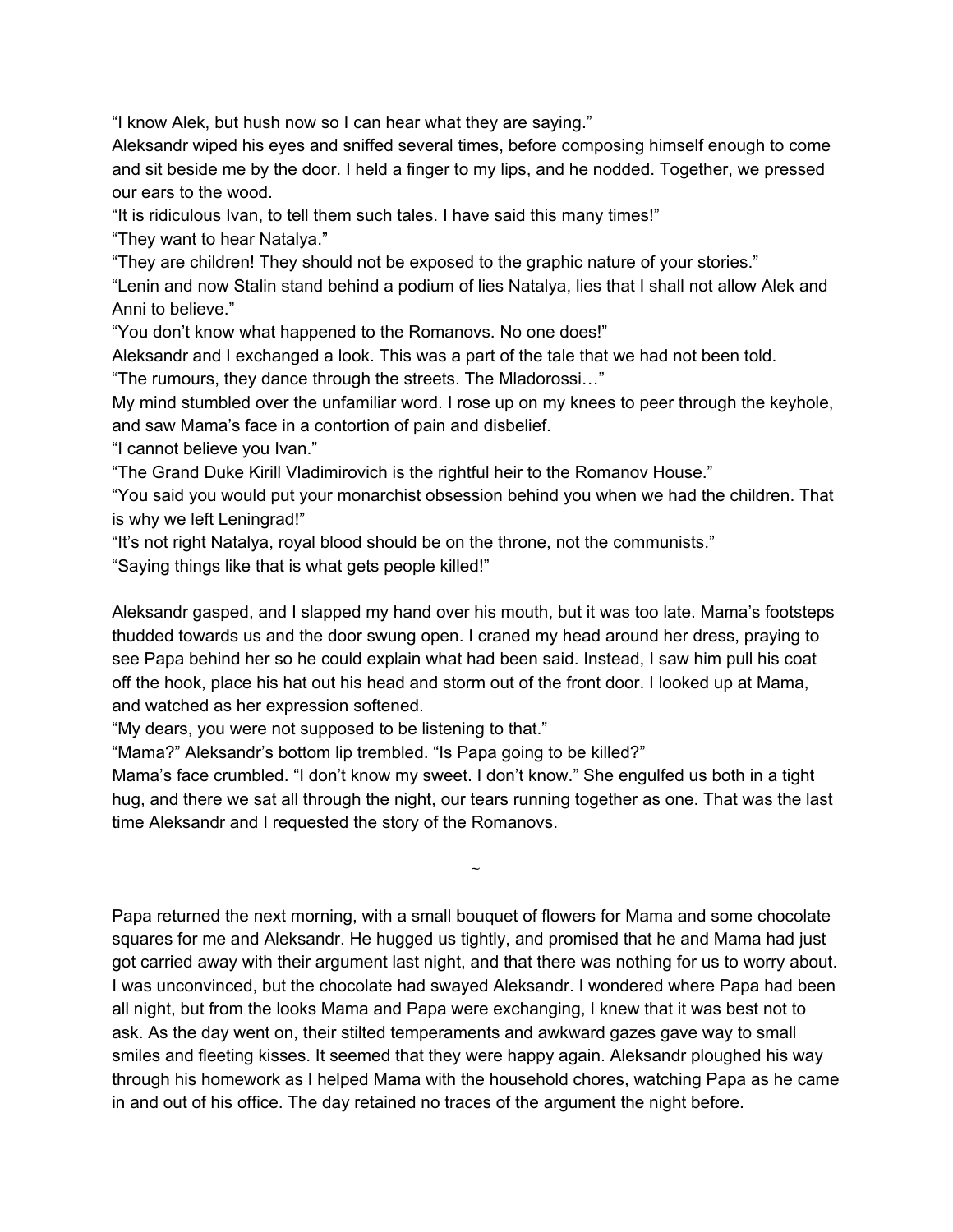"I know Alek, but hush now so I can hear what they are saying."

Aleksandr wiped his eyes and sniffed several times, before composing himself enough to come and sit beside me by the door. I held a finger to my lips, and he nodded. Together, we pressed our ears to the wood.

"It is ridiculous Ivan, to tell them such tales. I have said this many times!"

"They want to hear Natalya."

"They are children! They should not be exposed to the graphic nature of your stories."

"Lenin and now Stalin stand behind a podium of lies Natalya, lies that I shall not allow Alek and Anni to believe."

"You don't know what happened to the Romanovs. No one does!"

Aleksandr and I exchanged a look. This was a part of the tale that we had not been told.

"The rumours, they dance through the streets. The Mladorossi…"

My mind stumbled over the unfamiliar word. I rose up on my knees to peer through the keyhole, and saw Mama's face in a contortion of pain and disbelief.

"I cannot believe you Ivan."

"The Grand Duke Kirill Vladimirovich is the rightful heir to the Romanov House."

"You said you would put your monarchist obsession behind you when we had the children. That is why we left Leningrad!"

"It's not right Natalya, royal blood should be on the throne, not the communists."

"Saying things like that is what gets people killed!"

Aleksandr gasped, and I slapped my hand over his mouth, but it was too late. Mama's footsteps thudded towards us and the door swung open. I craned my head around her dress, praying to see Papa behind her so he could explain what had been said. Instead, I saw him pull his coat off the hook, place his hat out his head and storm out of the front door. I looked up at Mama, and watched as her expression softened.

"My dears, you were not supposed to be listening to that."

"Mama?" Aleksandr's bottom lip trembled. "Is Papa going to be killed?"

Mama's face crumbled. "I don't know my sweet. I don't know." She engulfed us both in a tight hug, and there we sat all through the night, our tears running together as one. That was the last time Aleksandr and I requested the story of the Romanovs.

 $\tilde{\phantom{a}}$ 

Papa returned the next morning, with a small bouquet of flowers for Mama and some chocolate squares for me and Aleksandr. He hugged us tightly, and promised that he and Mama had just got carried away with their argument last night, and that there was nothing for us to worry about. I was unconvinced, but the chocolate had swayed Aleksandr. I wondered where Papa had been all night, but from the looks Mama and Papa were exchanging, I knew that it was best not to ask. As the day went on, their stilted temperaments and awkward gazes gave way to small smiles and fleeting kisses. It seemed that they were happy again. Aleksandr ploughed his way through his homework as I helped Mama with the household chores, watching Papa as he came in and out of his office. The day retained no traces of the argument the night before.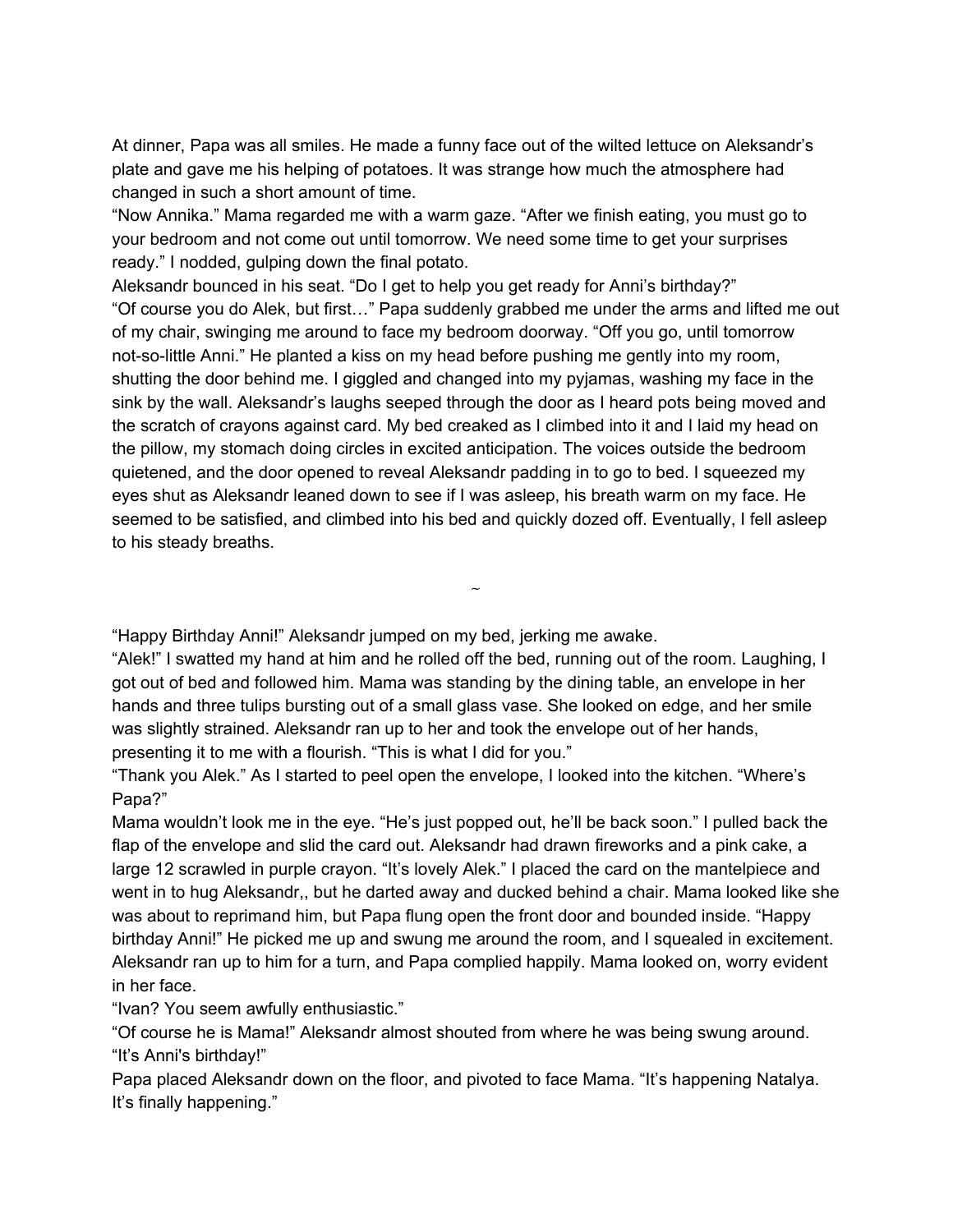At dinner, Papa was all smiles. He made a funny face out of the wilted lettuce on Aleksandr's plate and gave me his helping of potatoes. It was strange how much the atmosphere had changed in such a short amount of time.

"Now Annika." Mama regarded me with a warm gaze. "After we finish eating, you must go to your bedroom and not come out until tomorrow. We need some time to get your surprises ready." I nodded, gulping down the final potato.

Aleksandr bounced in his seat. "Do I get to help you get ready for Anni's birthday?" "Of course you do Alek, but first…" Papa suddenly grabbed me under the arms and lifted me out of my chair, swinging me around to face my bedroom doorway. "Off you go, until tomorrow not-so-little Anni." He planted a kiss on my head before pushing me gently into my room, shutting the door behind me. I giggled and changed into my pyjamas, washing my face in the sink by the wall. Aleksandr's laughs seeped through the door as I heard pots being moved and the scratch of crayons against card. My bed creaked as I climbed into it and I laid my head on the pillow, my stomach doing circles in excited anticipation. The voices outside the bedroom quietened, and the door opened to reveal Aleksandr padding in to go to bed. I squeezed my eyes shut as Aleksandr leaned down to see if I was asleep, his breath warm on my face. He seemed to be satisfied, and climbed into his bed and quickly dozed off. Eventually, I fell asleep to his steady breaths.

"Happy Birthday Anni!" Aleksandr jumped on my bed, jerking me awake.

"Alek!" I swatted my hand at him and he rolled off the bed, running out of the room. Laughing, I got out of bed and followed him. Mama was standing by the dining table, an envelope in her hands and three tulips bursting out of a small glass vase. She looked on edge, and her smile was slightly strained. Aleksandr ran up to her and took the envelope out of her hands, presenting it to me with a flourish. "This is what I did for you."

 $\sim$ 

"Thank you Alek." As I started to peel open the envelope, I looked into the kitchen. "Where's Papa?"

Mama wouldn't look me in the eye. "He's just popped out, he'll be back soon." I pulled back the flap of the envelope and slid the card out. Aleksandr had drawn fireworks and a pink cake, a large 12 scrawled in purple crayon. "It's lovely Alek." I placed the card on the mantelpiece and went in to hug Aleksandr,, but he darted away and ducked behind a chair. Mama looked like she was about to reprimand him, but Papa flung open the front door and bounded inside. "Happy birthday Anni!" He picked me up and swung me around the room, and I squealed in excitement. Aleksandr ran up to him for a turn, and Papa complied happily. Mama looked on, worry evident in her face.

"Ivan? You seem awfully enthusiastic."

"Of course he is Mama!" Aleksandr almost shouted from where he was being swung around. "It's Anni's birthday!"

Papa placed Aleksandr down on the floor, and pivoted to face Mama. "It's happening Natalya. It's finally happening."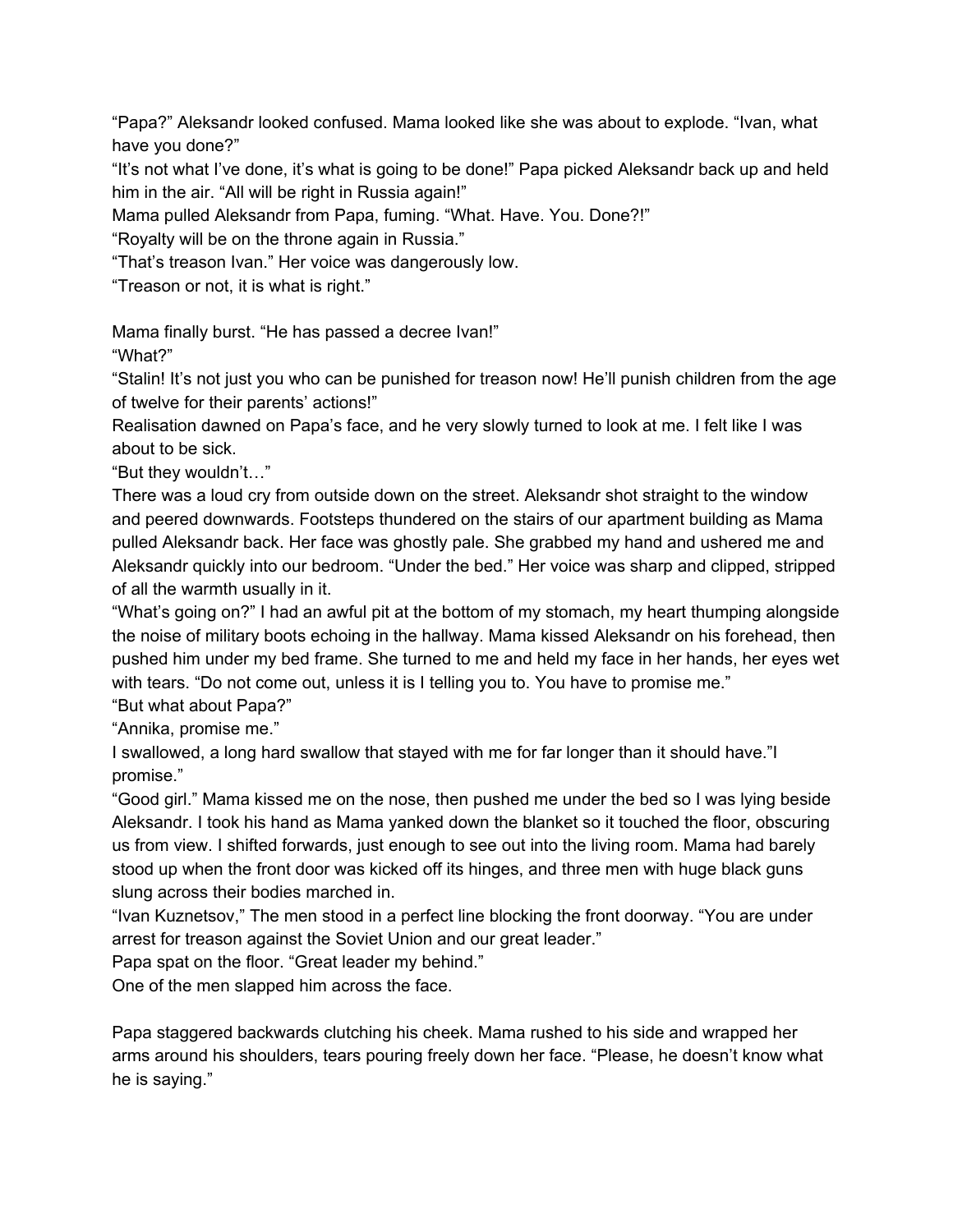"Papa?" Aleksandr looked confused. Mama looked like she was about to explode. "Ivan, what have you done?"

"It's not what I've done, it's what is going to be done!" Papa picked Aleksandr back up and held him in the air. "All will be right in Russia again!"

Mama pulled Aleksandr from Papa, fuming. "What. Have. You. Done?!"

"Royalty will be on the throne again in Russia."

"That's treason Ivan." Her voice was dangerously low.

"Treason or not, it is what is right."

Mama finally burst. "He has passed a decree Ivan!"

"What?"

"Stalin! It's not just you who can be punished for treason now! He'll punish children from the age of twelve for their parents' actions!"

Realisation dawned on Papa's face, and he very slowly turned to look at me. I felt like I was about to be sick.

"But they wouldn't…"

There was a loud cry from outside down on the street. Aleksandr shot straight to the window and peered downwards. Footsteps thundered on the stairs of our apartment building as Mama pulled Aleksandr back. Her face was ghostly pale. She grabbed my hand and ushered me and Aleksandr quickly into our bedroom. "Under the bed." Her voice was sharp and clipped, stripped of all the warmth usually in it.

"What's going on?" I had an awful pit at the bottom of my stomach, my heart thumping alongside the noise of military boots echoing in the hallway. Mama kissed Aleksandr on his forehead, then pushed him under my bed frame. She turned to me and held my face in her hands, her eyes wet with tears. "Do not come out, unless it is I telling you to. You have to promise me."

"But what about Papa?"

"Annika, promise me."

I swallowed, a long hard swallow that stayed with me for far longer than it should have."I promise."

"Good girl." Mama kissed me on the nose, then pushed me under the bed so I was lying beside Aleksandr. I took his hand as Mama yanked down the blanket so it touched the floor, obscuring us from view. I shifted forwards, just enough to see out into the living room. Mama had barely stood up when the front door was kicked off its hinges, and three men with huge black guns slung across their bodies marched in.

"Ivan Kuznetsov," The men stood in a perfect line blocking the front doorway. "You are under arrest for treason against the Soviet Union and our great leader."

Papa spat on the floor. "Great leader my behind."

One of the men slapped him across the face.

Papa staggered backwards clutching his cheek. Mama rushed to his side and wrapped her arms around his shoulders, tears pouring freely down her face. "Please, he doesn't know what he is saying."